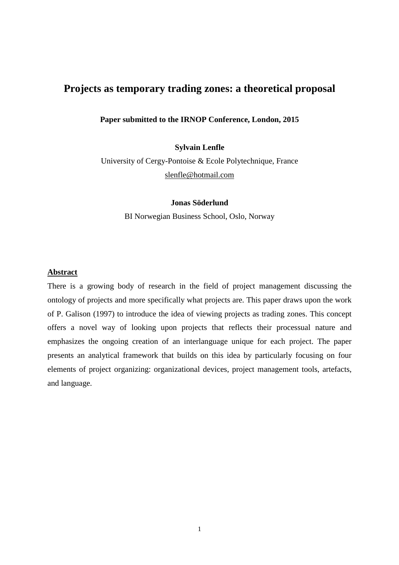# **Projects as temporary trading zones: a theoretical proposal**

**Paper submitted to the IRNOP Conference, London, 2015** 

**Sylvain Lenfle** 

University of Cergy-Pontoise & Ecole Polytechnique, France slenfle@hotmail.com

**Jonas Söderlund** 

BI Norwegian Business School, Oslo, Norway

## **Abstract**

There is a growing body of research in the field of project management discussing the ontology of projects and more specifically what projects are. This paper draws upon the work of P. Galison (1997) to introduce the idea of viewing projects as trading zones. This concept offers a novel way of looking upon projects that reflects their processual nature and emphasizes the ongoing creation of an interlanguage unique for each project. The paper presents an analytical framework that builds on this idea by particularly focusing on four elements of project organizing: organizational devices, project management tools, artefacts, and language.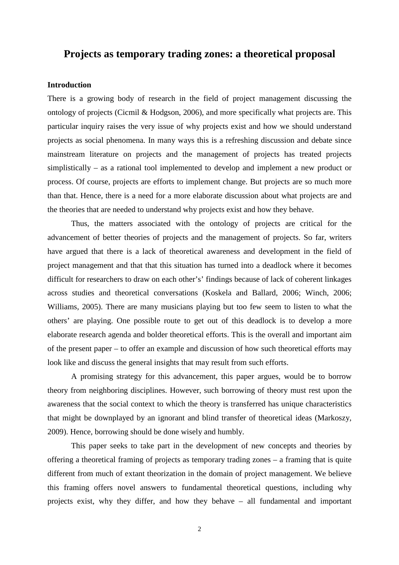## **Projects as temporary trading zones: a theoretical proposal**

## **Introduction**

There is a growing body of research in the field of project management discussing the ontology of projects (Cicmil & Hodgson, 2006), and more specifically what projects are. This particular inquiry raises the very issue of why projects exist and how we should understand projects as social phenomena. In many ways this is a refreshing discussion and debate since mainstream literature on projects and the management of projects has treated projects simplistically – as a rational tool implemented to develop and implement a new product or process. Of course, projects are efforts to implement change. But projects are so much more than that. Hence, there is a need for a more elaborate discussion about what projects are and the theories that are needed to understand why projects exist and how they behave.

Thus, the matters associated with the ontology of projects are critical for the advancement of better theories of projects and the management of projects. So far, writers have argued that there is a lack of theoretical awareness and development in the field of project management and that that this situation has turned into a deadlock where it becomes difficult for researchers to draw on each other's' findings because of lack of coherent linkages across studies and theoretical conversations (Koskela and Ballard, 2006; Winch, 2006; Williams, 2005). There are many musicians playing but too few seem to listen to what the others' are playing. One possible route to get out of this deadlock is to develop a more elaborate research agenda and bolder theoretical efforts. This is the overall and important aim of the present paper – to offer an example and discussion of how such theoretical efforts may look like and discuss the general insights that may result from such efforts.

A promising strategy for this advancement, this paper argues, would be to borrow theory from neighboring disciplines. However, such borrowing of theory must rest upon the awareness that the social context to which the theory is transferred has unique characteristics that might be downplayed by an ignorant and blind transfer of theoretical ideas (Markoszy, 2009). Hence, borrowing should be done wisely and humbly.

This paper seeks to take part in the development of new concepts and theories by offering a theoretical framing of projects as temporary trading zones – a framing that is quite different from much of extant theorization in the domain of project management. We believe this framing offers novel answers to fundamental theoretical questions, including why projects exist, why they differ, and how they behave – all fundamental and important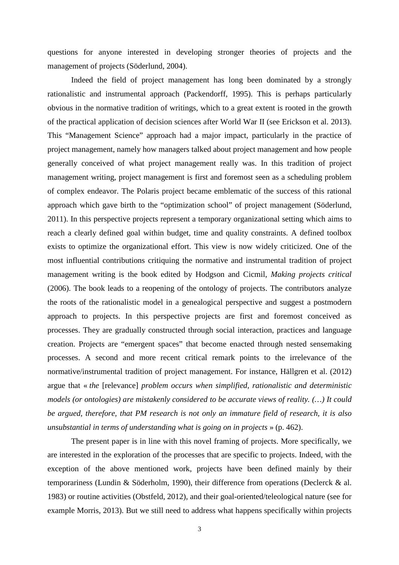questions for anyone interested in developing stronger theories of projects and the management of projects (Söderlund, 2004).

Indeed the field of project management has long been dominated by a strongly rationalistic and instrumental approach (Packendorff, 1995). This is perhaps particularly obvious in the normative tradition of writings, which to a great extent is rooted in the growth of the practical application of decision sciences after World War II (see Erickson et al. 2013). This "Management Science" approach had a major impact, particularly in the practice of project management, namely how managers talked about project management and how people generally conceived of what project management really was. In this tradition of project management writing, project management is first and foremost seen as a scheduling problem of complex endeavor. The Polaris project became emblematic of the success of this rational approach which gave birth to the "optimization school" of project management (Söderlund, 2011). In this perspective projects represent a temporary organizational setting which aims to reach a clearly defined goal within budget, time and quality constraints. A defined toolbox exists to optimize the organizational effort. This view is now widely criticized. One of the most influential contributions critiquing the normative and instrumental tradition of project management writing is the book edited by Hodgson and Cicmil, *Making projects critical* (2006). The book leads to a reopening of the ontology of projects. The contributors analyze the roots of the rationalistic model in a genealogical perspective and suggest a postmodern approach to projects. In this perspective projects are first and foremost conceived as processes. They are gradually constructed through social interaction, practices and language creation. Projects are "emergent spaces" that become enacted through nested sensemaking processes. A second and more recent critical remark points to the irrelevance of the normative/instrumental tradition of project management. For instance, Hällgren et al. (2012) argue that « *the* [relevance] *problem occurs when simplified, rationalistic and deterministic models (or ontologies) are mistakenly considered to be accurate views of reality. (…) It could be argued, therefore, that PM research is not only an immature field of research, it is also unsubstantial in terms of understanding what is going on in projects* » (p. 462).

The present paper is in line with this novel framing of projects. More specifically, we are interested in the exploration of the processes that are specific to projects. Indeed, with the exception of the above mentioned work, projects have been defined mainly by their temporariness (Lundin & Söderholm, 1990), their difference from operations (Declerck & al. 1983) or routine activities (Obstfeld, 2012), and their goal-oriented/teleological nature (see for example Morris, 2013). But we still need to address what happens specifically within projects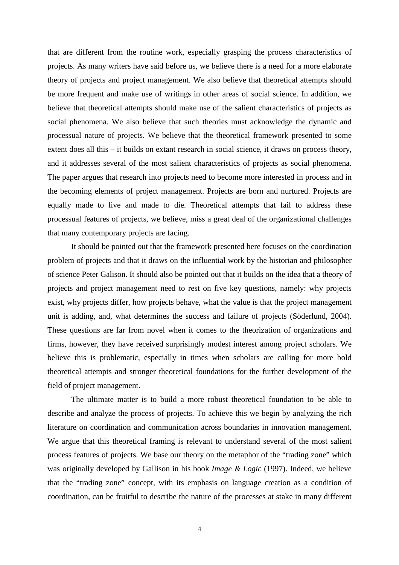that are different from the routine work, especially grasping the process characteristics of projects. As many writers have said before us, we believe there is a need for a more elaborate theory of projects and project management. We also believe that theoretical attempts should be more frequent and make use of writings in other areas of social science. In addition, we believe that theoretical attempts should make use of the salient characteristics of projects as social phenomena. We also believe that such theories must acknowledge the dynamic and processual nature of projects. We believe that the theoretical framework presented to some extent does all this – it builds on extant research in social science, it draws on process theory, and it addresses several of the most salient characteristics of projects as social phenomena. The paper argues that research into projects need to become more interested in process and in the becoming elements of project management. Projects are born and nurtured. Projects are equally made to live and made to die. Theoretical attempts that fail to address these processual features of projects, we believe, miss a great deal of the organizational challenges that many contemporary projects are facing.

It should be pointed out that the framework presented here focuses on the coordination problem of projects and that it draws on the influential work by the historian and philosopher of science Peter Galison. It should also be pointed out that it builds on the idea that a theory of projects and project management need to rest on five key questions, namely: why projects exist, why projects differ, how projects behave, what the value is that the project management unit is adding, and, what determines the success and failure of projects (Söderlund, 2004). These questions are far from novel when it comes to the theorization of organizations and firms, however, they have received surprisingly modest interest among project scholars. We believe this is problematic, especially in times when scholars are calling for more bold theoretical attempts and stronger theoretical foundations for the further development of the field of project management.

The ultimate matter is to build a more robust theoretical foundation to be able to describe and analyze the process of projects. To achieve this we begin by analyzing the rich literature on coordination and communication across boundaries in innovation management. We argue that this theoretical framing is relevant to understand several of the most salient process features of projects. We base our theory on the metaphor of the "trading zone" which was originally developed by Gallison in his book *Image & Logic* (1997). Indeed, we believe that the "trading zone" concept, with its emphasis on language creation as a condition of coordination, can be fruitful to describe the nature of the processes at stake in many different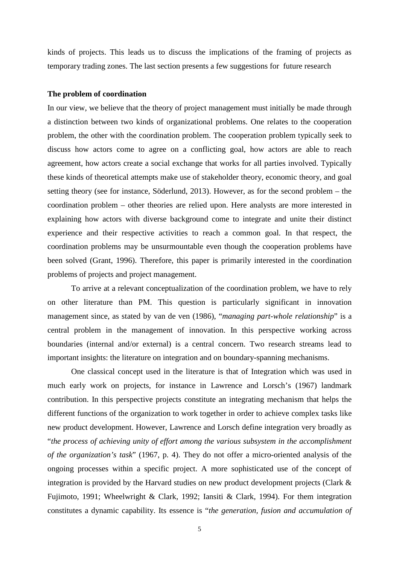kinds of projects. This leads us to discuss the implications of the framing of projects as temporary trading zones. The last section presents a few suggestions for future research

#### **The problem of coordination**

In our view, we believe that the theory of project management must initially be made through a distinction between two kinds of organizational problems. One relates to the cooperation problem, the other with the coordination problem. The cooperation problem typically seek to discuss how actors come to agree on a conflicting goal, how actors are able to reach agreement, how actors create a social exchange that works for all parties involved. Typically these kinds of theoretical attempts make use of stakeholder theory, economic theory, and goal setting theory (see for instance, Söderlund, 2013). However, as for the second problem – the coordination problem – other theories are relied upon. Here analysts are more interested in explaining how actors with diverse background come to integrate and unite their distinct experience and their respective activities to reach a common goal. In that respect, the coordination problems may be unsurmountable even though the cooperation problems have been solved (Grant, 1996). Therefore, this paper is primarily interested in the coordination problems of projects and project management.

To arrive at a relevant conceptualization of the coordination problem, we have to rely on other literature than PM. This question is particularly significant in innovation management since, as stated by van de ven (1986), "*managing part-whole relationship*" is a central problem in the management of innovation. In this perspective working across boundaries (internal and/or external) is a central concern. Two research streams lead to important insights: the literature on integration and on boundary-spanning mechanisms.

One classical concept used in the literature is that of Integration which was used in much early work on projects, for instance in Lawrence and Lorsch's (1967) landmark contribution. In this perspective projects constitute an integrating mechanism that helps the different functions of the organization to work together in order to achieve complex tasks like new product development. However, Lawrence and Lorsch define integration very broadly as "*the process of achieving unity of effort among the various subsystem in the accomplishment of the organization's task*" (1967, p. 4). They do not offer a micro-oriented analysis of the ongoing processes within a specific project. A more sophisticated use of the concept of integration is provided by the Harvard studies on new product development projects (Clark & Fujimoto, 1991; Wheelwright & Clark, 1992; Iansiti & Clark, 1994). For them integration constitutes a dynamic capability. Its essence is "*the generation, fusion and accumulation of*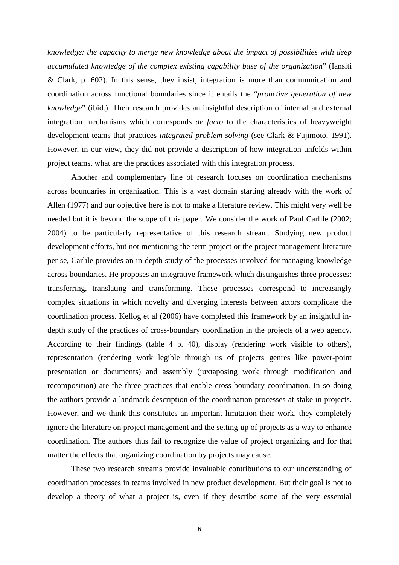*knowledge: the capacity to merge new knowledge about the impact of possibilities with deep accumulated knowledge of the complex existing capability base of the organization*" (Iansiti & Clark, p. 602). In this sense, they insist, integration is more than communication and coordination across functional boundaries since it entails the "*proactive generation of new knowledge*" (ibid.). Their research provides an insightful description of internal and external integration mechanisms which corresponds *de facto* to the characteristics of heavyweight development teams that practices *integrated problem solving* (see Clark & Fujimoto, 1991). However, in our view, they did not provide a description of how integration unfolds within project teams, what are the practices associated with this integration process.

Another and complementary line of research focuses on coordination mechanisms across boundaries in organization. This is a vast domain starting already with the work of Allen (1977) and our objective here is not to make a literature review. This might very well be needed but it is beyond the scope of this paper. We consider the work of Paul Carlile (2002; 2004) to be particularly representative of this research stream. Studying new product development efforts, but not mentioning the term project or the project management literature per se, Carlile provides an in-depth study of the processes involved for managing knowledge across boundaries. He proposes an integrative framework which distinguishes three processes: transferring, translating and transforming. These processes correspond to increasingly complex situations in which novelty and diverging interests between actors complicate the coordination process. Kellog et al (2006) have completed this framework by an insightful indepth study of the practices of cross-boundary coordination in the projects of a web agency. According to their findings (table 4 p. 40), display (rendering work visible to others), representation (rendering work legible through us of projects genres like power-point presentation or documents) and assembly (juxtaposing work through modification and recomposition) are the three practices that enable cross-boundary coordination. In so doing the authors provide a landmark description of the coordination processes at stake in projects. However, and we think this constitutes an important limitation their work, they completely ignore the literature on project management and the setting-up of projects as a way to enhance coordination. The authors thus fail to recognize the value of project organizing and for that matter the effects that organizing coordination by projects may cause.

These two research streams provide invaluable contributions to our understanding of coordination processes in teams involved in new product development. But their goal is not to develop a theory of what a project is, even if they describe some of the very essential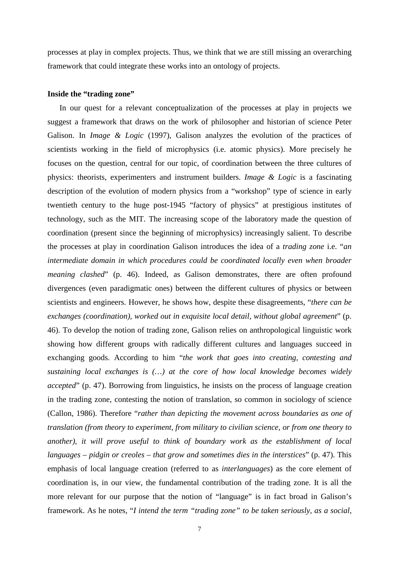processes at play in complex projects. Thus, we think that we are still missing an overarching framework that could integrate these works into an ontology of projects.

#### **Inside the "trading zone"**

In our quest for a relevant conceptualization of the processes at play in projects we suggest a framework that draws on the work of philosopher and historian of science Peter Galison. In *Image & Logic* (1997), Galison analyzes the evolution of the practices of scientists working in the field of microphysics (i.e. atomic physics). More precisely he focuses on the question, central for our topic, of coordination between the three cultures of physics: theorists, experimenters and instrument builders. *Image & Logic* is a fascinating description of the evolution of modern physics from a "workshop" type of science in early twentieth century to the huge post-1945 "factory of physics" at prestigious institutes of technology, such as the MIT. The increasing scope of the laboratory made the question of coordination (present since the beginning of microphysics) increasingly salient. To describe the processes at play in coordination Galison introduces the idea of a *trading zone* i.e. "*an intermediate domain in which procedures could be coordinated locally even when broader meaning clashed*" (p. 46). Indeed, as Galison demonstrates, there are often profound divergences (even paradigmatic ones) between the different cultures of physics or between scientists and engineers. However, he shows how, despite these disagreements, "*there can be exchanges (coordination), worked out in exquisite local detail, without global agreement*" (p. 46). To develop the notion of trading zone, Galison relies on anthropological linguistic work showing how different groups with radically different cultures and languages succeed in exchanging goods. According to him "*the work that goes into creating, contesting and sustaining local exchanges is (…) at the core of how local knowledge becomes widely accepted*" (p. 47). Borrowing from linguistics, he insists on the process of language creation in the trading zone, contesting the notion of translation, so common in sociology of science (Callon, 1986). Therefore "*rather than depicting the movement across boundaries as one of translation (from theory to experiment, from military to civilian science, or from one theory to another), it will prove useful to think of boundary work as the establishment of local languages – pidgin or creoles – that grow and sometimes dies in the interstices*" (p. 47). This emphasis of local language creation (referred to as *interlanguages*) as the core element of coordination is, in our view, the fundamental contribution of the trading zone. It is all the more relevant for our purpose that the notion of "language" is in fact broad in Galison's framework. As he notes, "*I intend the term "trading zone" to be taken seriously, as a social,*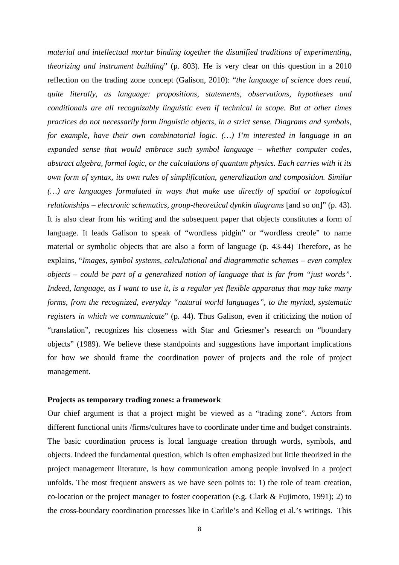*material and intellectual mortar binding together the disunified traditions of experimenting, theorizing and instrument building*" (p. 803). He is very clear on this question in a 2010 reflection on the trading zone concept (Galison, 2010): "*the language of science does read, quite literally, as language: propositions, statements, observations, hypotheses and conditionals are all recognizably linguistic even if technical in scope. But at other times practices do not necessarily form linguistic objects, in a strict sense. Diagrams and symbols, for example, have their own combinatorial logic. (…) I'm interested in language in an expanded sense that would embrace such symbol language – whether computer codes, abstract algebra, formal logic, or the calculations of quantum physics. Each carries with it its own form of syntax, its own rules of simplification, generalization and composition. Similar (…) are languages formulated in ways that make use directly of spatial or topological relationships – electronic schematics, group-theoretical dynkin diagrams* [and so on]" (p. 43). It is also clear from his writing and the subsequent paper that objects constitutes a form of language. It leads Galison to speak of "wordless pidgin" or "wordless creole" to name material or symbolic objects that are also a form of language (p. 43-44) Therefore, as he explains, "*Images, symbol systems, calculational and diagrammatic schemes – even complex objects – could be part of a generalized notion of language that is far from "just words". Indeed, language, as I want to use it, is a regular yet flexible apparatus that may take many forms, from the recognized, everyday "natural world languages", to the myriad, systematic registers in which we communicate*" (p. 44). Thus Galison, even if criticizing the notion of "translation", recognizes his closeness with Star and Griesmer's research on "boundary objects" (1989). We believe these standpoints and suggestions have important implications for how we should frame the coordination power of projects and the role of project management.

### **Projects as temporary trading zones: a framework**

Our chief argument is that a project might be viewed as a "trading zone". Actors from different functional units /firms/cultures have to coordinate under time and budget constraints. The basic coordination process is local language creation through words, symbols, and objects. Indeed the fundamental question, which is often emphasized but little theorized in the project management literature, is how communication among people involved in a project unfolds. The most frequent answers as we have seen points to: 1) the role of team creation, co-location or the project manager to foster cooperation (e.g. Clark & Fujimoto, 1991); 2) to the cross-boundary coordination processes like in Carlile's and Kellog et al.'s writings. This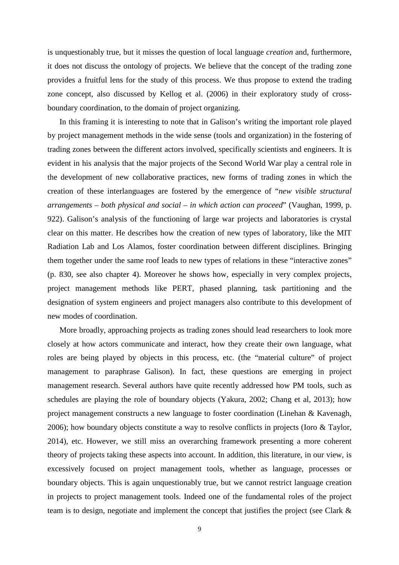is unquestionably true, but it misses the question of local language *creation* and, furthermore, it does not discuss the ontology of projects. We believe that the concept of the trading zone provides a fruitful lens for the study of this process. We thus propose to extend the trading zone concept, also discussed by Kellog et al. (2006) in their exploratory study of crossboundary coordination, to the domain of project organizing.

In this framing it is interesting to note that in Galison's writing the important role played by project management methods in the wide sense (tools and organization) in the fostering of trading zones between the different actors involved, specifically scientists and engineers. It is evident in his analysis that the major projects of the Second World War play a central role in the development of new collaborative practices, new forms of trading zones in which the creation of these interlanguages are fostered by the emergence of "*new visible structural arrangements – both physical and social – in which action can proceed*" (Vaughan, 1999, p. 922). Galison's analysis of the functioning of large war projects and laboratories is crystal clear on this matter. He describes how the creation of new types of laboratory, like the MIT Radiation Lab and Los Alamos, foster coordination between different disciplines. Bringing them together under the same roof leads to new types of relations in these "interactive zones" (p. 830, see also chapter 4). Moreover he shows how, especially in very complex projects, project management methods like PERT, phased planning, task partitioning and the designation of system engineers and project managers also contribute to this development of new modes of coordination.

More broadly, approaching projects as trading zones should lead researchers to look more closely at how actors communicate and interact, how they create their own language, what roles are being played by objects in this process, etc. (the "material culture" of project management to paraphrase Galison). In fact, these questions are emerging in project management research. Several authors have quite recently addressed how PM tools, such as schedules are playing the role of boundary objects (Yakura, 2002; Chang et al, 2013); how project management constructs a new language to foster coordination (Linehan & Kavenagh, 2006); how boundary objects constitute a way to resolve conflicts in projects (Ioro & Taylor, 2014), etc. However, we still miss an overarching framework presenting a more coherent theory of projects taking these aspects into account. In addition, this literature, in our view, is excessively focused on project management tools, whether as language, processes or boundary objects. This is again unquestionably true, but we cannot restrict language creation in projects to project management tools. Indeed one of the fundamental roles of the project team is to design, negotiate and implement the concept that justifies the project (see Clark &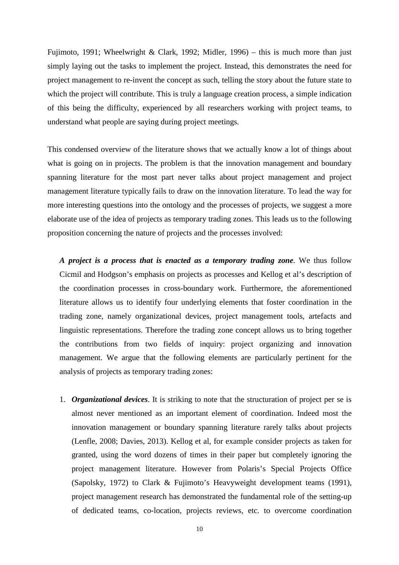Fujimoto, 1991; Wheelwright & Clark, 1992; Midler, 1996) – this is much more than just simply laying out the tasks to implement the project. Instead, this demonstrates the need for project management to re-invent the concept as such, telling the story about the future state to which the project will contribute. This is truly a language creation process, a simple indication of this being the difficulty, experienced by all researchers working with project teams, to understand what people are saying during project meetings.

This condensed overview of the literature shows that we actually know a lot of things about what is going on in projects. The problem is that the innovation management and boundary spanning literature for the most part never talks about project management and project management literature typically fails to draw on the innovation literature. To lead the way for more interesting questions into the ontology and the processes of projects, we suggest a more elaborate use of the idea of projects as temporary trading zones. This leads us to the following proposition concerning the nature of projects and the processes involved:

*A project is a process that is enacted as a temporary trading zone*. We thus follow Cicmil and Hodgson's emphasis on projects as processes and Kellog et al's description of the coordination processes in cross-boundary work. Furthermore, the aforementioned literature allows us to identify four underlying elements that foster coordination in the trading zone, namely organizational devices, project management tools, artefacts and linguistic representations. Therefore the trading zone concept allows us to bring together the contributions from two fields of inquiry: project organizing and innovation management. We argue that the following elements are particularly pertinent for the analysis of projects as temporary trading zones:

1. *Organizational devices*. It is striking to note that the structuration of project per se is almost never mentioned as an important element of coordination. Indeed most the innovation management or boundary spanning literature rarely talks about projects (Lenfle, 2008; Davies, 2013). Kellog et al, for example consider projects as taken for granted, using the word dozens of times in their paper but completely ignoring the project management literature. However from Polaris's Special Projects Office (Sapolsky, 1972) to Clark & Fujimoto's Heavyweight development teams (1991), project management research has demonstrated the fundamental role of the setting-up of dedicated teams, co-location, projects reviews, etc. to overcome coordination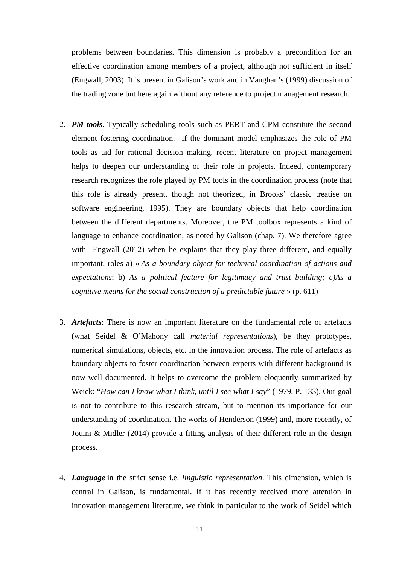problems between boundaries. This dimension is probably a precondition for an effective coordination among members of a project, although not sufficient in itself (Engwall, 2003). It is present in Galison's work and in Vaughan's (1999) discussion of the trading zone but here again without any reference to project management research.

- 2. *PM tools*. Typically scheduling tools such as PERT and CPM constitute the second element fostering coordination. If the dominant model emphasizes the role of PM tools as aid for rational decision making, recent literature on project management helps to deepen our understanding of their role in projects. Indeed, contemporary research recognizes the role played by PM tools in the coordination process (note that this role is already present, though not theorized, in Brooks' classic treatise on software engineering, 1995). They are boundary objects that help coordination between the different departments. Moreover, the PM toolbox represents a kind of language to enhance coordination, as noted by Galison (chap. 7). We therefore agree with Engwall (2012) when he explains that they play three different, and equally important, roles a) « *As a boundary object for technical coordination of actions and expectations*; b) *As a political feature for legitimacy and trust building; c)As a cognitive means for the social construction of a predictable future* » (p. 611)
- 3. *Artefacts*: There is now an important literature on the fundamental role of artefacts (what Seidel & O'Mahony call *material representations*), be they prototypes, numerical simulations, objects, etc. in the innovation process. The role of artefacts as boundary objects to foster coordination between experts with different background is now well documented. It helps to overcome the problem eloquently summarized by Weick: "*How can I know what I think, until I see what I say*" (1979, P. 133). Our goal is not to contribute to this research stream, but to mention its importance for our understanding of coordination. The works of Henderson (1999) and, more recently, of Jouini & Midler (2014) provide a fitting analysis of their different role in the design process.
- 4. *Language* in the strict sense i.e. *linguistic representation*. This dimension, which is central in Galison, is fundamental. If it has recently received more attention in innovation management literature, we think in particular to the work of Seidel which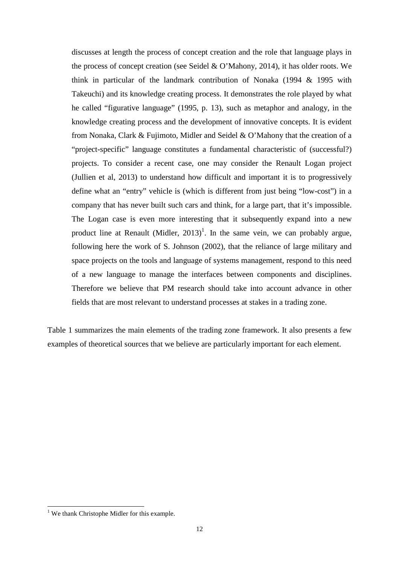discusses at length the process of concept creation and the role that language plays in the process of concept creation (see Seidel & O'Mahony, 2014), it has older roots. We think in particular of the landmark contribution of Nonaka (1994 & 1995 with Takeuchi) and its knowledge creating process. It demonstrates the role played by what he called "figurative language" (1995, p. 13), such as metaphor and analogy, in the knowledge creating process and the development of innovative concepts. It is evident from Nonaka, Clark & Fujimoto, Midler and Seidel & O'Mahony that the creation of a "project-specific" language constitutes a fundamental characteristic of (successful?) projects. To consider a recent case, one may consider the Renault Logan project (Jullien et al, 2013) to understand how difficult and important it is to progressively define what an "entry" vehicle is (which is different from just being "low-cost") in a company that has never built such cars and think, for a large part, that it's impossible. The Logan case is even more interesting that it subsequently expand into a new product line at Renault (Midler,  $2013$ )<sup>1</sup>. In the same vein, we can probably argue, following here the work of S. Johnson (2002), that the reliance of large military and space projects on the tools and language of systems management, respond to this need of a new language to manage the interfaces between components and disciplines. Therefore we believe that PM research should take into account advance in other fields that are most relevant to understand processes at stakes in a trading zone.

Table 1 summarizes the main elements of the trading zone framework. It also presents a few examples of theoretical sources that we believe are particularly important for each element.

<sup>&</sup>lt;sup>1</sup> We thank Christophe Midler for this example.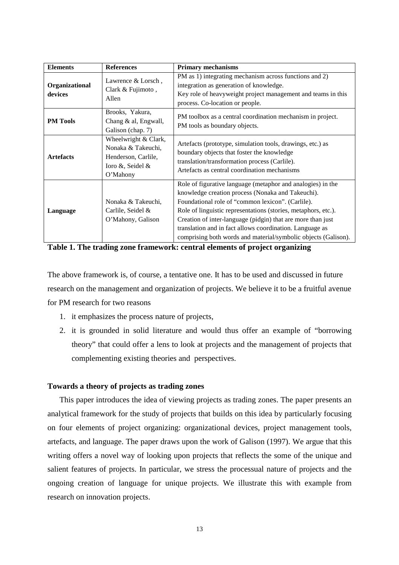| <b>Elements</b>           | <b>References</b>                                                                                 | <b>Primary mechanisms</b>                                                                                                                                                                                                                                                                                                                                                                                                            |
|---------------------------|---------------------------------------------------------------------------------------------------|--------------------------------------------------------------------------------------------------------------------------------------------------------------------------------------------------------------------------------------------------------------------------------------------------------------------------------------------------------------------------------------------------------------------------------------|
| Organizational<br>devices | Lawrence & Lorsch,<br>Clark & Fujimoto,<br>Allen                                                  | PM as 1) integrating mechanism across functions and 2)<br>integration as generation of knowledge.<br>Key role of heavyweight project management and teams in this<br>process. Co-location or people.                                                                                                                                                                                                                                 |
| <b>PM Tools</b>           | Brooks, Yakura,<br>Chang & al, Engwall,<br>Galison (chap. 7)                                      | PM toolbox as a central coordination mechanism in project.<br>PM tools as boundary objects.                                                                                                                                                                                                                                                                                                                                          |
| <b>Artefacts</b>          | Wheelwright & Clark,<br>Nonaka & Takeuchi.<br>Henderson, Carlile,<br>Ioro &, Seidel &<br>O'Mahony | Artefacts (prototype, simulation tools, drawings, etc.) as<br>boundary objects that foster the knowledge<br>translation/transformation process (Carlile).<br>Artefacts as central coordination mechanisms                                                                                                                                                                                                                            |
| Language                  | Nonaka & Takeuchi,<br>Carlile, Seidel &<br>O'Mahony, Galison                                      | Role of figurative language (metaphor and analogies) in the<br>knowledge creation process (Nonaka and Takeuchi).<br>Foundational role of "common lexicon". (Carlile).<br>Role of linguistic representations (stories, metaphors, etc.).<br>Creation of inter-language (pidgin) that are more than just<br>translation and in fact allows coordination. Language as<br>comprising both words and material/symbolic objects (Galison). |

**Table 1. The trading zone framework: central elements of project organizing** 

The above framework is, of course, a tentative one. It has to be used and discussed in future research on the management and organization of projects. We believe it to be a fruitful avenue for PM research for two reasons

- 1. it emphasizes the process nature of projects,
- 2. it is grounded in solid literature and would thus offer an example of "borrowing theory" that could offer a lens to look at projects and the management of projects that complementing existing theories and perspectives.

### **Towards a theory of projects as trading zones**

This paper introduces the idea of viewing projects as trading zones. The paper presents an analytical framework for the study of projects that builds on this idea by particularly focusing on four elements of project organizing: organizational devices, project management tools, artefacts, and language. The paper draws upon the work of Galison (1997). We argue that this writing offers a novel way of looking upon projects that reflects the some of the unique and salient features of projects. In particular, we stress the processual nature of projects and the ongoing creation of language for unique projects. We illustrate this with example from research on innovation projects.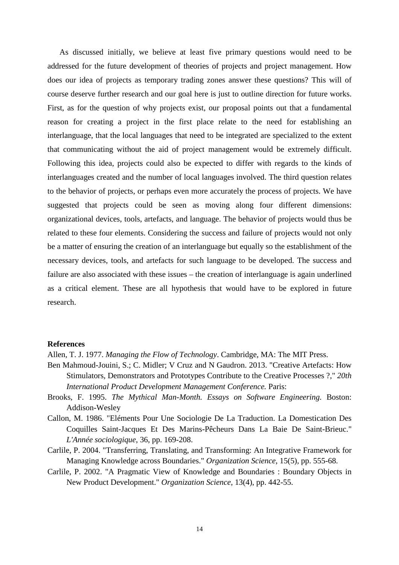As discussed initially, we believe at least five primary questions would need to be addressed for the future development of theories of projects and project management. How does our idea of projects as temporary trading zones answer these questions? This will of course deserve further research and our goal here is just to outline direction for future works. First, as for the question of why projects exist, our proposal points out that a fundamental reason for creating a project in the first place relate to the need for establishing an interlanguage, that the local languages that need to be integrated are specialized to the extent that communicating without the aid of project management would be extremely difficult. Following this idea, projects could also be expected to differ with regards to the kinds of interlanguages created and the number of local languages involved. The third question relates to the behavior of projects, or perhaps even more accurately the process of projects. We have suggested that projects could be seen as moving along four different dimensions: organizational devices, tools, artefacts, and language. The behavior of projects would thus be related to these four elements. Considering the success and failure of projects would not only be a matter of ensuring the creation of an interlanguage but equally so the establishment of the necessary devices, tools, and artefacts for such language to be developed. The success and failure are also associated with these issues – the creation of interlanguage is again underlined as a critical element. These are all hypothesis that would have to be explored in future research.

#### **References**

Allen, T. J. 1977. *Managing the Flow of Technology*. Cambridge, MA: The MIT Press.

- Ben Mahmoud-Jouini, S.; C. Midler; V Cruz and N Gaudron. 2013. "Creative Artefacts: How Stimulators, Demonstrators and Prototypes Contribute to the Creative Processes ?," *20th International Product Development Management Conference.* Paris:
- Brooks, F. 1995. *The Mythical Man-Month. Essays on Software Engineering.* Boston: Addison-Wesley
- Callon, M. 1986. "Eléments Pour Une Sociologie De La Traduction. La Domestication Des Coquilles Saint-Jacques Et Des Marins-Pêcheurs Dans La Baie De Saint-Brieuc." *L'Année sociologique*, 36, pp. 169-208.
- Carlile, P. 2004. "Transferring, Translating, and Transforming: An Integrative Framework for Managing Knowledge across Boundaries." *Organization Science*, 15(5), pp. 555-68.
- Carlile, P. 2002. "A Pragmatic View of Knowledge and Boundaries : Boundary Objects in New Product Development." *Organization Science*, 13(4), pp. 442-55.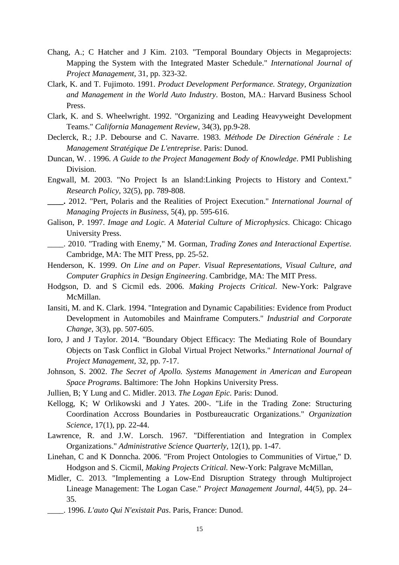- Chang, A.; C Hatcher and J Kim. 2103. "Temporal Boundary Objects in Megaprojects: Mapping the System with the Integrated Master Schedule." *International Journal of Project Management*, 31, pp. 323-32.
- Clark, K. and T. Fujimoto. 1991. *Product Development Performance. Strategy, Organization and Management in the World Auto Industry*. Boston, MA.: Harvard Business School Press.
- Clark, K. and S. Wheelwright. 1992. "Organizing and Leading Heavyweight Development Teams." *California Management Review*, 34(3), pp.9-28.
- Declerck, R.; J.P. Debourse and C. Navarre. 1983. *Méthode De Direction Générale : Le Management Stratégique De L'entreprise*. Paris: Dunod.
- Duncan, W. . 1996. *A Guide to the Project Management Body of Knowledge*. PMI Publishing Division.
- Engwall, M. 2003. "No Project Is an Island:Linking Projects to History and Context." *Research Policy*, 32(5), pp. 789-808.
- **\_\_\_\_.** 2012. "Pert, Polaris and the Realities of Project Execution." *International Journal of Managing Projects in Business*, 5(4), pp. 595-616.
- Galison, P. 1997. *Image and Logic. A Material Culture of Microphysics*. Chicago: Chicago University Press.
- \_\_\_\_. 2010. "Trading with Enemy," M. Gorman, *Trading Zones and Interactional Expertise.*  Cambridge, MA: The MIT Press, pp. 25-52.
- Henderson, K. 1999. *On Line and on Paper. Visual Representations, Visual Culture, and Computer Graphics in Design Engineering*. Cambridge, MA: The MIT Press.
- Hodgson, D. and S Cicmil eds. 2006. *Making Projects Critical*. New-York: Palgrave McMillan.
- Iansiti, M. and K. Clark. 1994. "Integration and Dynamic Capabilities: Evidence from Product Development in Automobiles and Mainframe Computers." *Industrial and Corporate Change*, 3(3), pp. 507-605.
- Ioro, J and J Taylor. 2014. "Boundary Object Efficacy: The Mediating Role of Boundary Objects on Task Conflict in Global Virtual Project Networks." *International Journal of Project Management*, 32, pp. 7-17.
- Johnson, S. 2002. *The Secret of Apollo. Systems Management in American and European Space Programs*. Baltimore: The John Hopkins University Press.
- Jullien, B; Y Lung and C. Midler. 2013. *The Logan Epic.* Paris: Dunod.
- Kellogg, K; W Orlikowski and J Yates. 200-. "Life in the Trading Zone: Structuring Coordination Accross Boundaries in Postbureaucratic Organizations." *Organization Science*, 17(1), pp. 22-44.
- Lawrence, R. and J.W. Lorsch. 1967. "Differentiation and Integration in Complex Organizations." *Administrative Science Quarterly*, 12(1), pp. 1-47.
- Linehan, C and K Donncha. 2006. "From Project Ontologies to Communities of Virtue," D. Hodgson and S. Cicmil, *Making Projects Critical.* New-York: Palgrave McMillan,
- Midler, C. 2013. "Implementing a Low-End Disruption Strategy through Multiproject Lineage Management: The Logan Case." *Project Management Journal*, 44(5), pp. 24– 35.
	- \_\_\_\_. 1996. *L'auto Qui N'existait Pas*. Paris, France: Dunod.